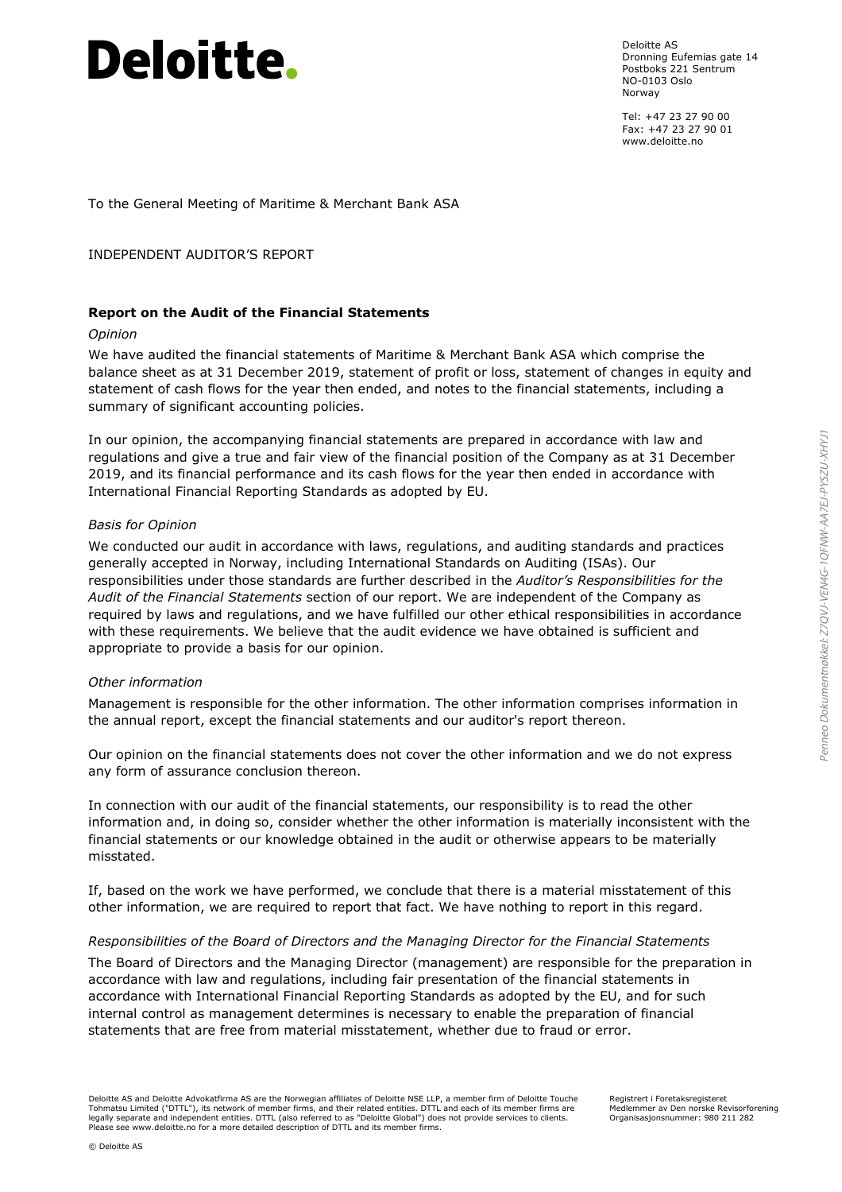# **Deloitte.**

Deloitte AS Dronning Eufemias gate 14 Postboks 221 Sentrum NO-0103 Oslo Norway

Tel: +47 23 27 90 00 Fax: +47 23 27 90 01 www.deloitte.no

To the General Meeting of Maritime & Merchant Bank ASA

### INDEPENDENT AUDITOR'S REPORT

### **Report on the Audit of the Financial Statements**

### *Opinion*

We have audited the financial statements of Maritime & Merchant Bank ASA which comprise the balance sheet as at 31 December 2019, statement of profit or loss, statement of changes in equity and statement of cash flows for the year then ended, and notes to the financial statements, including a summary of significant accounting policies.

In our opinion, the accompanying financial statements are prepared in accordance with law and regulations and give a true and fair view of the financial position of the Company as at 31 December 2019, and its financial performance and its cash flows for the year then ended in accordance with International Financial Reporting Standards as adopted by EU.

### *Basis for Opinion*

We conducted our audit in accordance with laws, regulations, and auditing standards and practices generally accepted in Norway, including International Standards on Auditing (ISAs). Our responsibilities under those standards are further described in the *Auditor's Responsibilities for the Audit of the Financial Statements* section of our report. We are independent of the Company as required by laws and regulations, and we have fulfilled our other ethical responsibilities in accordance with these requirements. We believe that the audit evidence we have obtained is sufficient and appropriate to provide a basis for our opinion.

### *Other information*

Management is responsible for the other information. The other information comprises information in the annual report, except the financial statements and our auditor's report thereon.

Our opinion on the financial statements does not cover the other information and we do not express any form of assurance conclusion thereon.

In connection with our audit of the financial statements, our responsibility is to read the other information and, in doing so, consider whether the other information is materially inconsistent with the financial statements or our knowledge obtained in the audit or otherwise appears to be materially misstated.

If, based on the work we have performed, we conclude that there is a material misstatement of this other information, we are required to report that fact. We have nothing to report in this regard.

### *Responsibilities of the Board of Directors and the Managing Director for the Financial Statements*

The Board of Directors and the Managing Director (management) are responsible for the preparation in accordance with law and regulations, including fair presentation of the financial statements in accordance with International Financial Reporting Standards as adopted by the EU, and for such internal control as management determines is necessary to enable the preparation of financial statements that are free from material misstatement, whether due to fraud or error.

Deloitte AS and Deloitte Advokatfirma AS are the Norwegian affiliates of Deloitte NSE LLP, a member firm of Deloitte Touche Tohmatsu Limited ("DTTL"), its network of member firms, and their related entities. DTTL and each of its member firms are<br>legally separate and independent entities. DTTL (also referred to as "Deloitte Global") does not pro see www.deloitte.no for a more detailed description of DTTL and its member firms.

 Registrert i Foretaksregisteret Medlemmer av Den norske Revisorforening Organisasjonsnummer: 980 211 282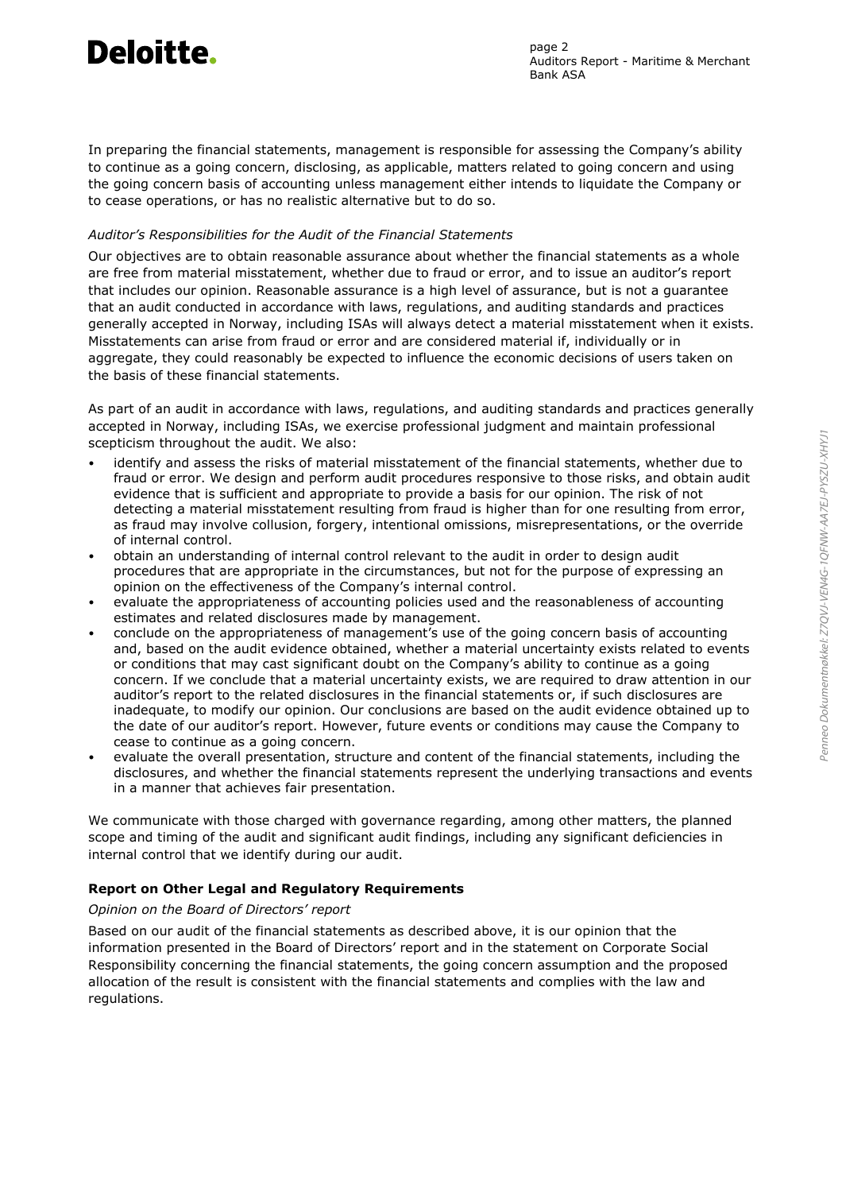### Deloitte.

In preparing the financial statements, management is responsible for assessing the Company's ability to continue as a going concern, disclosing, as applicable, matters related to going concern and using the going concern basis of accounting unless management either intends to liquidate the Company or to cease operations, or has no realistic alternative but to do so.

### *Auditor's Responsibilities for the Audit of the Financial Statements*

Our objectives are to obtain reasonable assurance about whether the financial statements as a whole are free from material misstatement, whether due to fraud or error, and to issue an auditor's report that includes our opinion. Reasonable assurance is a high level of assurance, but is not a guarantee that an audit conducted in accordance with laws, regulations, and auditing standards and practices generally accepted in Norway, including ISAs will always detect a material misstatement when it exists. Misstatements can arise from fraud or error and are considered material if, individually or in aggregate, they could reasonably be expected to influence the economic decisions of users taken on the basis of these financial statements.

As part of an audit in accordance with laws, regulations, and auditing standards and practices generally accepted in Norway, including ISAs, we exercise professional judgment and maintain professional scepticism throughout the audit. We also:

- identify and assess the risks of material misstatement of the financial statements, whether due to fraud or error. We design and perform audit procedures responsive to those risks, and obtain audit evidence that is sufficient and appropriate to provide a basis for our opinion. The risk of not detecting a material misstatement resulting from fraud is higher than for one resulting from error, as fraud may involve collusion, forgery, intentional omissions, misrepresentations, or the override of internal control.
- obtain an understanding of internal control relevant to the audit in order to design audit procedures that are appropriate in the circumstances, but not for the purpose of expressing an opinion on the effectiveness of the Company's internal control.
- evaluate the appropriateness of accounting policies used and the reasonableness of accounting estimates and related disclosures made by management.
- conclude on the appropriateness of management's use of the going concern basis of accounting and, based on the audit evidence obtained, whether a material uncertainty exists related to events or conditions that may cast significant doubt on the Company's ability to continue as a going concern. If we conclude that a material uncertainty exists, we are required to draw attention in our auditor's report to the related disclosures in the financial statements or, if such disclosures are inadequate, to modify our opinion. Our conclusions are based on the audit evidence obtained up to the date of our auditor's report. However, future events or conditions may cause the Company to cease to continue as a going concern.
- evaluate the overall presentation, structure and content of the financial statements, including the disclosures, and whether the financial statements represent the underlying transactions and events in a manner that achieves fair presentation.

We communicate with those charged with governance regarding, among other matters, the planned scope and timing of the audit and significant audit findings, including any significant deficiencies in internal control that we identify during our audit.

### **Report on Other Legal and Regulatory Requirements**

### *Opinion on the Board of Directors' report*

Based on our audit of the financial statements as described above, it is our opinion that the information presented in the Board of Directors' report and in the statement on Corporate Social Responsibility concerning the financial statements, the going concern assumption and the proposed allocation of the result is consistent with the financial statements and complies with the law and regulations.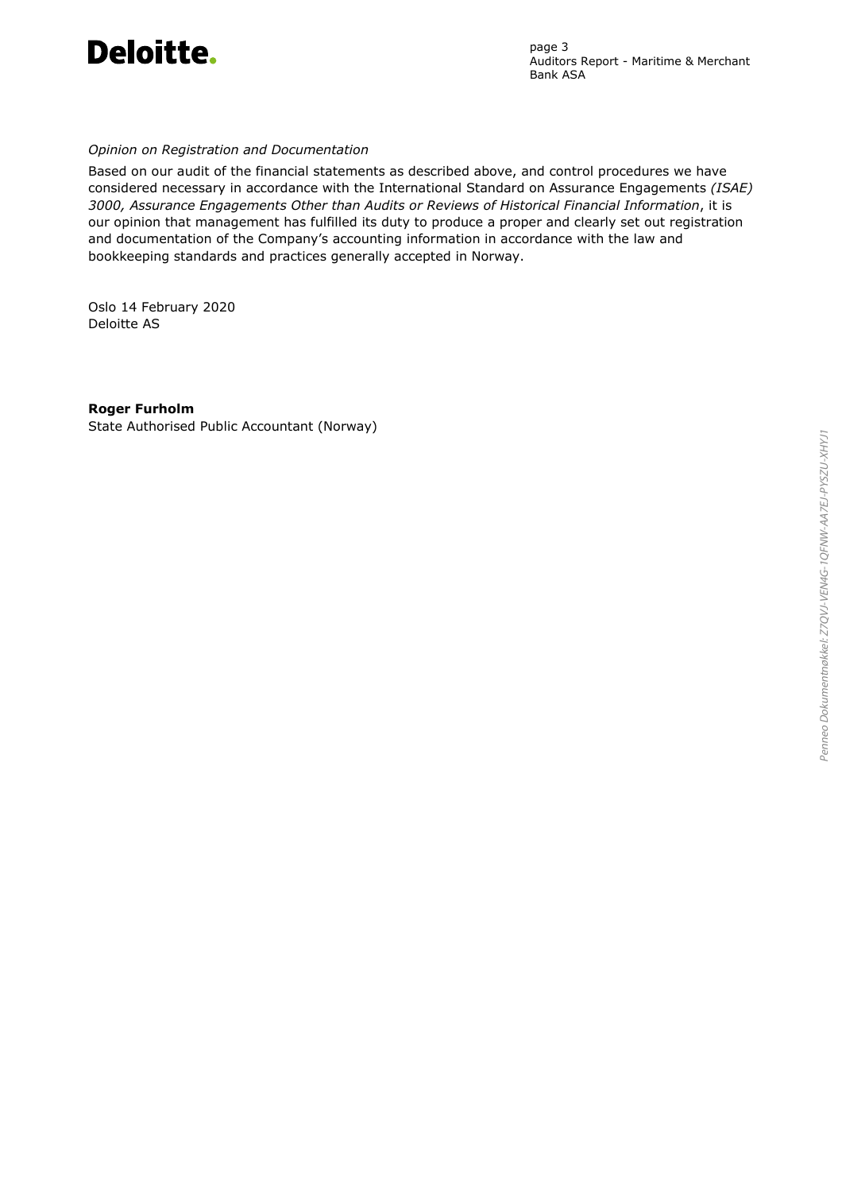

page 3 Auditors Report - Maritime & Merchant Bank ASA

#### *Opinion on Registration and Documentation*

Based on our audit of the financial statements as described above, and control procedures we have considered necessary in accordance with the International Standard on Assurance Engagements *(ISAE) 3000, Assurance Engagements Other than Audits or Reviews of Historical Financial Information*, it is our opinion that management has fulfilled its duty to produce a proper and clearly set out registration and documentation of the Company's accounting information in accordance with the law and bookkeeping standards and practices generally accepted in Norway.

Oslo 14 February 2020 Deloitte AS

**Roger Furholm** 

State Authorised Public Accountant (Norway)